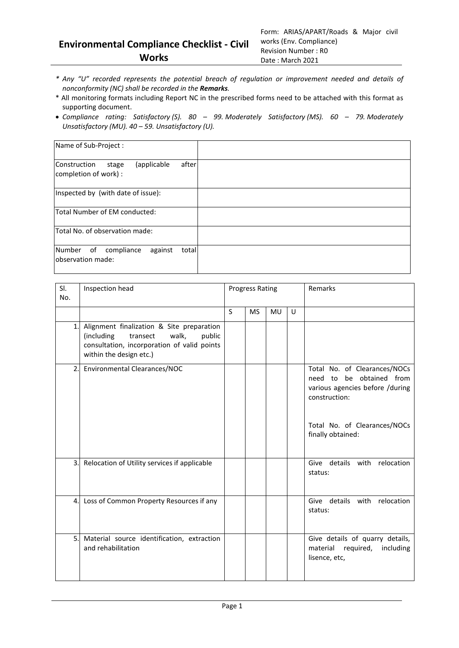- *\* Any "U" recorded represents the potential breach of regulation or improvement needed and details of nonconformity (NC) shall be recorded in the Remarks.*
- \* All monitoring formats including Report NC in the prescribed forms need to be attached with this format as supporting document.
- *Compliance rating: Satisfactory (S). 80 – 99. Moderately Satisfactory (MS). 60 – 79. Moderately Unsatisfactory (MU). 40 – 59. Unsatisfactory (U).*

| Name of Sub-Project :                                                  |  |
|------------------------------------------------------------------------|--|
| after<br>(applicable<br>Construction<br>stage<br>completion of work) : |  |
| Inspected by (with date of issue):                                     |  |
| Total Number of EM conducted:                                          |  |
| Total No. of observation made:                                         |  |
| Number of<br>compliance<br>against<br>total<br>lobservation made:      |  |

| SI.<br>No.       | Inspection head                                                                                                                                                  | <b>Progress Rating</b> |           |           |   | Remarks                                                                                                                                                              |
|------------------|------------------------------------------------------------------------------------------------------------------------------------------------------------------|------------------------|-----------|-----------|---|----------------------------------------------------------------------------------------------------------------------------------------------------------------------|
|                  |                                                                                                                                                                  | S                      | <b>MS</b> | <b>MU</b> | U |                                                                                                                                                                      |
| $\mathbf{1}$     | Alignment finalization & Site preparation<br>(including<br>walk,<br>transect<br>public<br>consultation, incorporation of valid points<br>within the design etc.) |                        |           |           |   |                                                                                                                                                                      |
| 2.               | Environmental Clearances/NOC                                                                                                                                     |                        |           |           |   | Total No. of Clearances/NOCs<br>be obtained from<br>need to<br>various agencies before /during<br>construction:<br>Total No. of Clearances/NOCs<br>finally obtained: |
| 3.               | Relocation of Utility services if applicable                                                                                                                     |                        |           |           |   | Give details with relocation<br>status:                                                                                                                              |
| $\overline{4}$ . | Loss of Common Property Resources if any                                                                                                                         |                        |           |           |   | Give details with relocation<br>status:                                                                                                                              |
| 5.               | Material source identification, extraction<br>and rehabilitation                                                                                                 |                        |           |           |   | Give details of quarry details,<br>material<br>required,<br>including<br>lisence, etc,                                                                               |